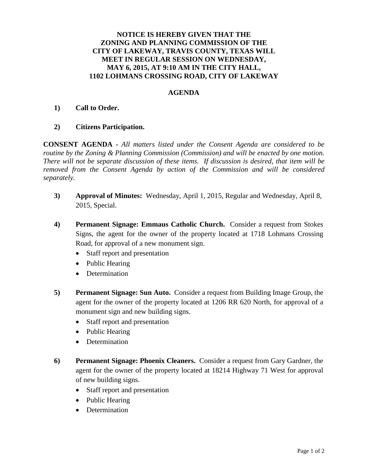## **NOTICE IS HEREBY GIVEN THAT THE ZONING AND PLANNING COMMISSION OF THE CITY OF LAKEWAY, TRAVIS COUNTY, TEXAS WILL MEET IN REGULAR SESSION ON WEDNESDAY, MAY 6, 2015, AT 9:10 AM IN THE CITY HALL, 1102 LOHMANS CROSSING ROAD, CITY OF LAKEWAY**

## **AGENDA**

## **1) Call to Order.**

**2) Citizens Participation.** 

**CONSENT AGENDA -** *All matters listed under the Consent Agenda are considered to be routine by the Zoning & Planning Commission (Commission) and will be enacted by one motion. There will not be separate discussion of these items. If discussion is desired, that item will be removed from the Consent Agenda by action of the Commission and will be considered separately.*

- **3) Approval of Minutes:** Wednesday, April 1, 2015, Regular and Wednesday, April 8, 2015, Special.
- **4) Permanent Signage: Emmaus Catholic Church.** Consider a request from Stokes Signs, the agent for the owner of the property located at 1718 Lohmans Crossing Road, for approval of a new monument sign.
	- Staff report and presentation
	- Public Hearing
	- Determination
- **5) Permanent Signage: Sun Auto.** Consider a request from Building Image Group, the agent for the owner of the property located at 1206 RR 620 North, for approval of a monument sign and new building signs.
	- Staff report and presentation
	- Public Hearing
	- Determination
- **6) Permanent Signage: Phoenix Cleaners.** Consider a request from Gary Gardner, the agent for the owner of the property located at 18214 Highway 71 West for approval of new building signs.
	- Staff report and presentation
	- Public Hearing
	- Determination